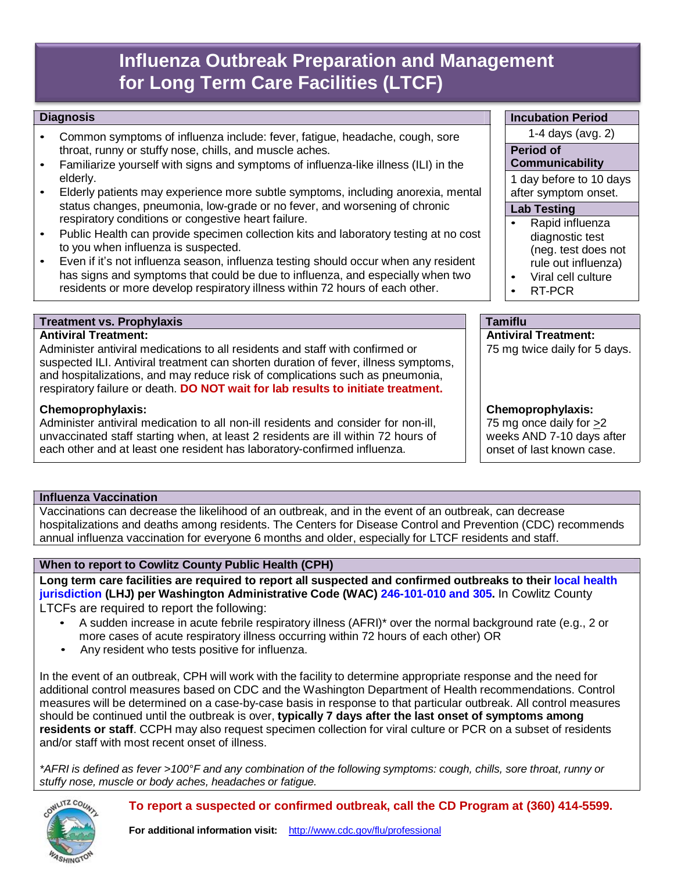# **Influenza Outbreak Preparation and Management for Long Term Care Facilities (LTCF)**

### **Diagnosis**

- Common symptoms of influenza include: fever, fatigue, headache, cough, sore throat, runny or stuffy nose, chills, and muscle aches.
- Familiarize yourself with signs and symptoms of influenza-like illness (ILI) in the elderly.
- Elderly patients may experience more subtle symptoms, including anorexia, mental status changes, pneumonia, low-grade or no fever, and worsening of chronic respiratory conditions or congestive heart failure.
- Public Health can provide specimen collection kits and laboratory testing at no cost to you when influenza is suspected.
- Even if it's not influenza season, influenza testing should occur when any resident has signs and symptoms that could be due to influenza, and especially when two residents or more develop respiratory illness within 72 hours of each other.

#### **Treatment vs. Prophylaxis Tamiflu**

### **Antiviral Treatment:**

Administer antiviral medications to all residents and staff with confirmed or suspected ILI. Antiviral treatment can shorten duration of fever, illness symptoms, and hospitalizations, and may reduce risk of complications such as pneumonia, respiratory failure or death. **DO NOT wait for lab results to initiate treatment.**

#### **Chemoprophylaxis:**

Administer antiviral medication to all non-ill residents and consider for non-ill, unvaccinated staff starting when, at least 2 residents are ill within 72 hours of each other and at least one resident has laboratory-confirmed influenza.

#### **Influenza Vaccination**

Vaccinations can decrease the likelihood of an outbreak, and in the event of an outbreak, can decrease hospitalizations and deaths among residents. The Centers for Disease Control and Prevention (CDC) recommends annual influenza vaccination for everyone 6 months and older, especially for LTCF residents and staff.

#### **When to report to Cowlitz County Public Health (CPH)**

**Long term care facilities are required to report all suspected and confirmed outbreaks to their local health jurisdiction (LHJ) per Washington Administrative Code (WAC) 246-101-010 and 305.** In Cowlitz County

LTCFs are required to report the following:

- A sudden increase in acute febrile respiratory illness (AFRI)\* over the normal background rate (e.g., 2 or more cases of acute respiratory illness occurring within 72 hours of each other) OR
- Any resident who tests positive for influenza.

In the event of an outbreak, CPH will work with the facility to determine appropriate response and the need for additional control measures based on CDC and the Washington Department of Health recommendations. Control measures will be determined on a case-by-case basis in response to that particular outbreak. All control measures should be continued until the outbreak is over, **typically 7 days after the last onset of symptoms among residents or staff**. CCPH may also request specimen collection for viral culture or PCR on a subset of residents and/or staff with most recent onset of illness.

\*AFRI is defined as fever >100°F and any combination of the following symptoms: cough, chills, sore throat, runny or *stuffy nose, muscle or body aches, headaches or fatigue.*

## **To report a suspected or confirmed outbreak, call the CD Program at (360) 414-5599.**

#### **Incubation Period**

1-4 days (avg. 2)

# **Period of**

# **Communicability**

1 day before to 10 days after symptom onset.

### **Lab Testing**

- Rapid influenza diagnostic test (neg. test does not rule out influenza)
- Viral cell culture
- RT-PCR

# **Antiviral Treatment:**

75 mg twice daily for 5 days.

# **Chemoprophylaxis:**

75 mg once daily for >2 weeks AND 7-10 days after onset of last known case.